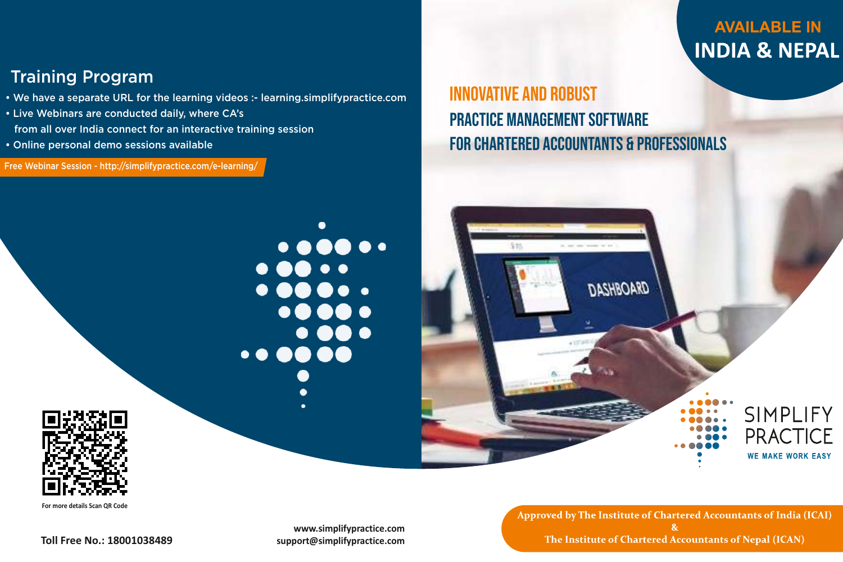**www.simplifypractice.com support@simplifypractice.com**

 $\bullet$   $\bullet$   $\bullet$   $\bullet$   $\bullet$ 

 $\bullet\bullet\bullet\bullet\bullet\bullet$ 

- We have a separate URL for the learning videos :- learning.simplifypractice.com
- Live Webinars are conducted daily, where CA's from all over India connect for an interactive training session
- Online personal demo sessions available

# Training Program

**Toll Free No.: 18001038489**

# **AVAILABLE IN INDIA & NEPAL**

SIMPLIFY

**PRACTICE** 

**WE MAKE WORK EASY** 

**For more details Scan QR Code**

Free Webinar Session - http://simplifypractice.com/e-learning/

Practice Management Software Innovative And Robust





# For Chartered Accountants & Professionals